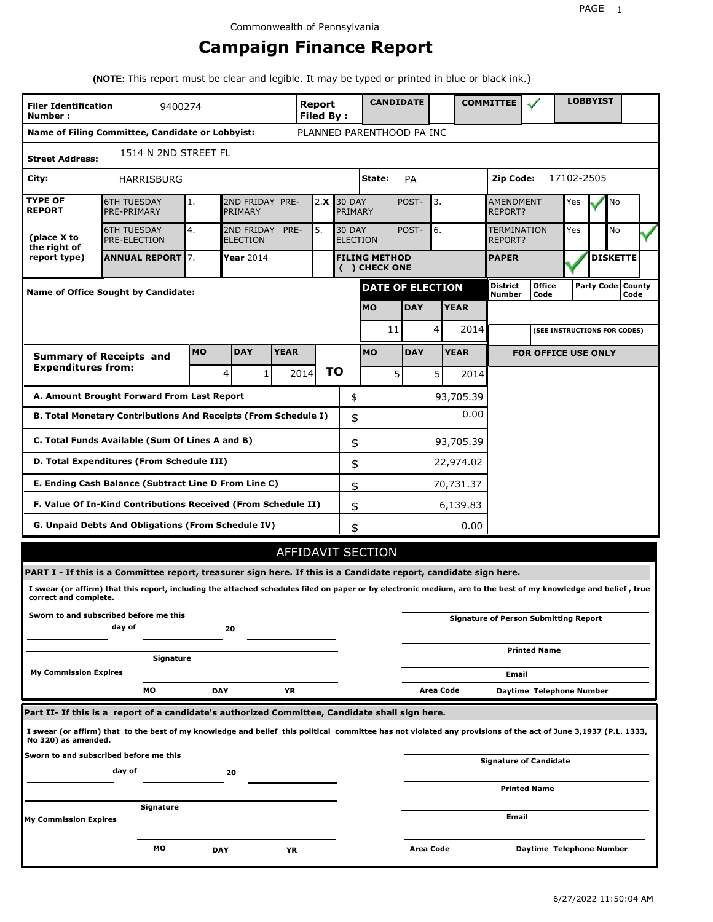# **Campaign Finance Report**

**(NOTE:** This report must be clear and legible. It may be typed or printed in blue or black ink.)

| <b>Filer Identification</b><br>Number:                                                              | 9400274                                                                                                                                                         |            |                               |      | <b>Report</b><br>Filed By: |                                      | <b>CANDIDATE</b>          |                  |           |             | <b>COMMITTEE</b>                   |                                              |            | <b>LOBBYIST</b>     |                 |  |
|-----------------------------------------------------------------------------------------------------|-----------------------------------------------------------------------------------------------------------------------------------------------------------------|------------|-------------------------------|------|----------------------------|--------------------------------------|---------------------------|------------------|-----------|-------------|------------------------------------|----------------------------------------------|------------|---------------------|-----------------|--|
|                                                                                                     | Name of Filing Committee, Candidate or Lobbyist:                                                                                                                |            |                               |      |                            |                                      | PLANNED PARENTHOOD PA INC |                  |           |             |                                    |                                              |            |                     |                 |  |
| <b>Street Address:</b>                                                                              | 1514 N 2ND STREET FL                                                                                                                                            |            |                               |      |                            |                                      |                           |                  |           |             |                                    |                                              |            |                     |                 |  |
| City:                                                                                               | HARRISBURG                                                                                                                                                      |            |                               |      |                            |                                      | State:                    | <b>PA</b>        |           |             | Zip Code:                          |                                              | 17102-2505 |                     |                 |  |
| <b>TYPE OF</b><br><b>REPORT</b>                                                                     | <b>6TH TUESDAY</b><br>PRE-PRIMARY                                                                                                                               | 1.         | 2ND FRIDAY PRE-<br>PRIMARY    |      | 2.X                        | <b>30 DAY</b><br>PRIMARY             |                           | POST-            | 3.        |             | <b>AMENDMENT</b><br><b>REPORT?</b> |                                              | Yes        |                     | No              |  |
| (place X to<br>the right of                                                                         | <b>6TH TUESDAY</b><br><b>PRE-ELECTION</b>                                                                                                                       | 4.         | 2ND FRIDAY<br><b>ELECTION</b> | PRE- | 5.                         | <b>30 DAY</b>                        | <b>ELECTION</b>           | POST-<br>6.      |           |             | <b>TERMINATION</b><br>REPORT?      | Yes                                          |            | No                  |                 |  |
| report type)                                                                                        | <b>ANNUAL REPORT</b> 7.                                                                                                                                         |            | Year 2014                     |      |                            | <b>FILING METHOD</b><br>() CHECK ONE |                           |                  |           |             | <b>PAPER</b>                       |                                              |            |                     | <b>DISKETTE</b> |  |
|                                                                                                     | Name of Office Sought by Candidate:                                                                                                                             |            |                               |      |                            |                                      | <b>DATE OF ELECTION</b>   |                  |           |             | <b>District</b><br><b>Number</b>   | <b>Office</b><br>Code                        |            | Party Code   County | Code            |  |
|                                                                                                     |                                                                                                                                                                 |            |                               |      |                            |                                      | <b>MO</b>                 | <b>DAY</b>       |           | <b>YEAR</b> |                                    |                                              |            |                     |                 |  |
|                                                                                                     |                                                                                                                                                                 |            |                               |      |                            |                                      | 11                        |                  | 4         | 2014        |                                    | (SEE INSTRUCTIONS FOR CODES)                 |            |                     |                 |  |
| <b>DAY</b><br><b>YEAR</b><br><b>MO</b><br><b>MO</b><br><b>DAY</b><br><b>Summary of Receipts and</b> |                                                                                                                                                                 |            |                               |      |                            |                                      |                           |                  |           | <b>YEAR</b> |                                    | <b>FOR OFFICE USE ONLY</b>                   |            |                     |                 |  |
| <b>Expenditures from:</b>                                                                           |                                                                                                                                                                 |            | 4<br>1                        |      | 2014                       | ΤO                                   | 5                         |                  | 5         | 2014        |                                    |                                              |            |                     |                 |  |
|                                                                                                     | A. Amount Brought Forward From Last Report                                                                                                                      |            |                               |      |                            | \$                                   |                           |                  |           | 93,705.39   |                                    |                                              |            |                     |                 |  |
| B. Total Monetary Contributions And Receipts (From Schedule I)                                      |                                                                                                                                                                 |            | 0.00<br>\$                    |      |                            |                                      |                           |                  |           |             |                                    |                                              |            |                     |                 |  |
| C. Total Funds Available (Sum Of Lines A and B)                                                     |                                                                                                                                                                 |            |                               |      |                            |                                      | \$                        |                  |           | 93,705.39   |                                    |                                              |            |                     |                 |  |
| D. Total Expenditures (From Schedule III)                                                           |                                                                                                                                                                 |            |                               |      |                            |                                      | \$                        |                  |           | 22,974.02   |                                    |                                              |            |                     |                 |  |
|                                                                                                     | E. Ending Cash Balance (Subtract Line D From Line C)                                                                                                            |            |                               |      |                            | \$                                   |                           |                  |           | 70,731.37   |                                    |                                              |            |                     |                 |  |
|                                                                                                     | F. Value Of In-Kind Contributions Received (From Schedule II)                                                                                                   |            |                               |      |                            | \$                                   |                           |                  |           | 6,139.83    |                                    |                                              |            |                     |                 |  |
|                                                                                                     | <b>G. Unpaid Debts And Obligations (From Schedule IV)</b>                                                                                                       |            |                               |      |                            | \$                                   |                           |                  |           | 0.00        |                                    |                                              |            |                     |                 |  |
|                                                                                                     |                                                                                                                                                                 |            |                               |      |                            |                                      | AFFIDAVIT SECTION         |                  |           |             |                                    |                                              |            |                     |                 |  |
|                                                                                                     | PART I - If this is a Committee report, treasurer sign here. If this is a Candidate report, candidate sign here.                                                |            |                               |      |                            |                                      |                           |                  |           |             |                                    |                                              |            |                     |                 |  |
| correct and complete.                                                                               | I swear (or affirm) that this report, including the attached schedules filed on paper or by electronic medium, are to the best of my knowledge and belief, true |            |                               |      |                            |                                      |                           |                  |           |             |                                    |                                              |            |                     |                 |  |
|                                                                                                     | Sworn to and subscribed before me this<br>day of                                                                                                                |            | 20                            |      |                            |                                      |                           |                  |           |             |                                    | <b>Signature of Person Submitting Report</b> |            |                     |                 |  |
|                                                                                                     | Signature                                                                                                                                                       |            |                               |      |                            |                                      |                           |                  |           |             |                                    | <b>Printed Name</b>                          |            |                     |                 |  |
| <b>My Commission Expires</b>                                                                        |                                                                                                                                                                 |            |                               |      |                            |                                      |                           |                  |           |             | Email                              |                                              |            |                     |                 |  |
|                                                                                                     | МO                                                                                                                                                              | <b>DAY</b> |                               | YR   |                            |                                      |                           |                  | Area Code |             |                                    | Daytime Telephone Number                     |            |                     |                 |  |
|                                                                                                     | Part II- If this is a report of a candidate's authorized Committee, Candidate shall sign here.                                                                  |            |                               |      |                            |                                      |                           |                  |           |             |                                    |                                              |            |                     |                 |  |
| No 320) as amended.                                                                                 | I swear (or affirm) that to the best of my knowledge and belief this political committee has not violated any provisions of the act of June 3,1937 (P.L. 1333,  |            |                               |      |                            |                                      |                           |                  |           |             |                                    |                                              |            |                     |                 |  |
|                                                                                                     | Sworn to and subscribed before me this<br>day of                                                                                                                |            | 20                            |      |                            |                                      |                           |                  |           |             |                                    | <b>Signature of Candidate</b>                |            |                     |                 |  |
|                                                                                                     |                                                                                                                                                                 |            |                               |      |                            |                                      |                           |                  |           |             |                                    | <b>Printed Name</b>                          |            |                     |                 |  |
| My Commission Expires                                                                               | Signature                                                                                                                                                       |            |                               |      |                            |                                      |                           |                  |           |             | Email                              |                                              |            |                     |                 |  |
|                                                                                                     | МO                                                                                                                                                              | <b>DAY</b> |                               | ΥR   |                            |                                      |                           | <b>Area Code</b> |           |             |                                    | Daytime Telephone Number                     |            |                     |                 |  |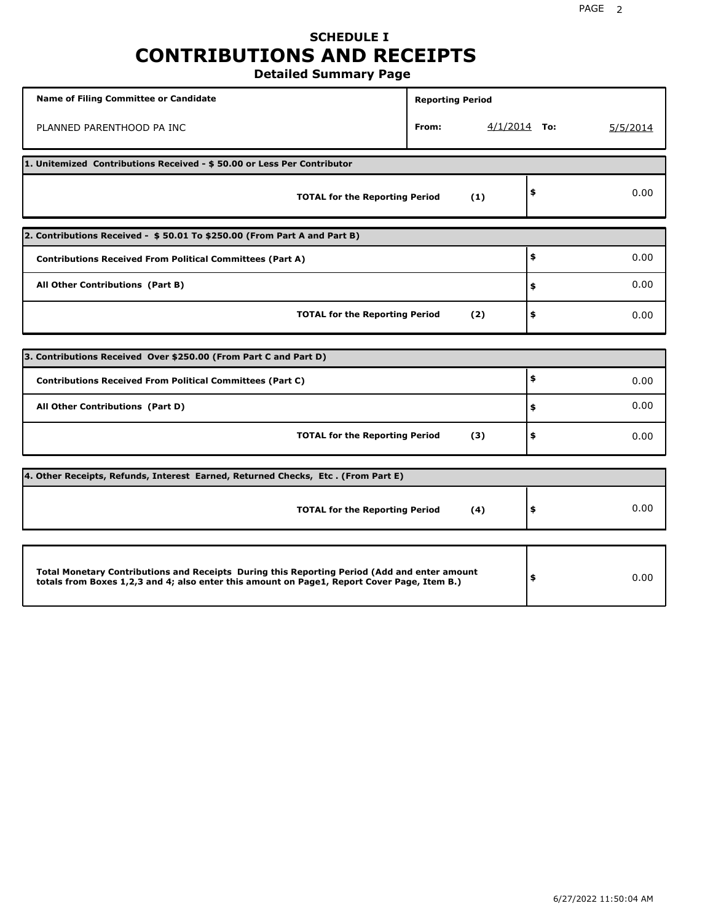## **SCHEDULE I CONTRIBUTIONS AND RECEIPTS Detailed Summary Page**

**Name of Filing Committee or Candidate Reporting Period Reporting Period** PLANNED PARENTHOOD PA INC **From:** 4/1/2014 **To:** 5/5/2014 **1. Unitemized Contributions Received - \$ 50.00 or Less Per Contributor TOTAL for the Reporting Period (1) \$** 0.00 **2. Contributions Received - \$ 50.01 To \$250.00 (From Part A and Part B) TOTAL for the Reporting Period (2) Contributions Received From Political Committees (Part A) All Other Contributions (Part B) \$ \$ \$** 0.00 0.00 0.00 **3. Contributions Received Over \$250.00 (From Part C and Part D) TOTAL for the Reporting Period (3) Contributions Received From Political Committees (Part C) All Other Contributions (Part D) \$ \$ \$** 0.00 0.00 0.00 **4. Other Receipts, Refunds, Interest Earned, Returned Checks, Etc . (From Part E) TOTAL for the Reporting Period (4) \$** 0.00 **Total Monetary Contributions and Receipts During this Reporting Period (Add and enter amount totals from Boxes 1,2,3 and 4; also enter this amount on Page1, Report Cover Page, Item B.) \$** 0.00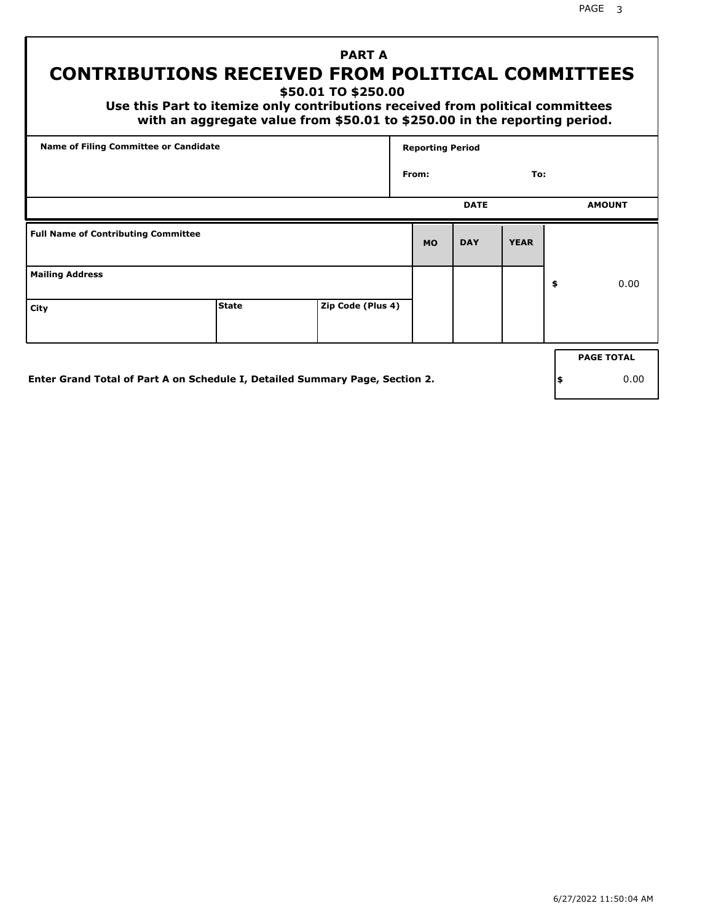PAGE 3

# **PART A CONTRIBUTIONS RECEIVED FROM POLITICAL COMMITTEES**

**\$50.01 TO \$250.00**

 **Use this Part to itemize only contributions received from political committees with an aggregate value from \$50.01 to \$250.00 in the reporting period.**

| From:     | <b>DATE</b> | To:         |                   |
|-----------|-------------|-------------|-------------------|
|           |             |             |                   |
|           |             |             | <b>AMOUNT</b>     |
| <b>MO</b> | <b>DAY</b>  | <b>YEAR</b> |                   |
|           |             |             | \$<br>0.00        |
|           |             |             |                   |
|           |             |             | <b>PAGE TOTAL</b> |
|           |             |             |                   |

**Enter Grand Total of Part A on Schedule I, Detailed Summary Page, Section 2.**

**\$** 0.00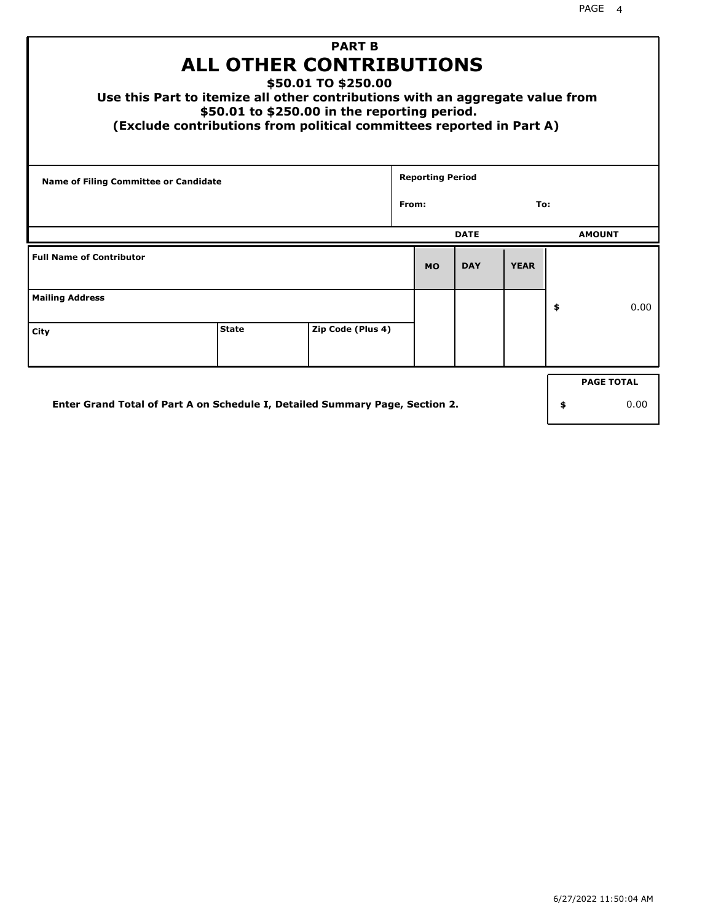| <b>PART B</b><br><b>ALL OTHER CONTRIBUTIONS</b><br>\$50.01 TO \$250.00<br>Use this Part to itemize all other contributions with an aggregate value from<br>\$50.01 to \$250.00 in the reporting period.<br>(Exclude contributions from political committees reported in Part A) |    |      |  |           |              |             |    |               |  |  |
|---------------------------------------------------------------------------------------------------------------------------------------------------------------------------------------------------------------------------------------------------------------------------------|----|------|--|-----------|--------------|-------------|----|---------------|--|--|
| <b>Reporting Period</b><br>Name of Filing Committee or Candidate                                                                                                                                                                                                                |    |      |  |           |              |             |    |               |  |  |
|                                                                                                                                                                                                                                                                                 |    |      |  |           | From:<br>To: |             |    |               |  |  |
|                                                                                                                                                                                                                                                                                 |    |      |  |           | <b>DATE</b>  |             |    | <b>AMOUNT</b> |  |  |
| <b>Full Name of Contributor</b>                                                                                                                                                                                                                                                 |    |      |  | <b>MO</b> | <b>DAY</b>   | <b>YEAR</b> |    |               |  |  |
| <b>Mailing Address</b>                                                                                                                                                                                                                                                          |    |      |  |           |              |             | \$ | 0.00          |  |  |
| <b>State</b><br>Zip Code (Plus 4)<br>City                                                                                                                                                                                                                                       |    |      |  |           |              |             |    |               |  |  |
| <b>PAGE TOTAL</b>                                                                                                                                                                                                                                                               |    |      |  |           |              |             |    |               |  |  |
| Enter Grand Total of Part A on Schedule I, Detailed Summary Page, Section 2.                                                                                                                                                                                                    | \$ | 0.00 |  |           |              |             |    |               |  |  |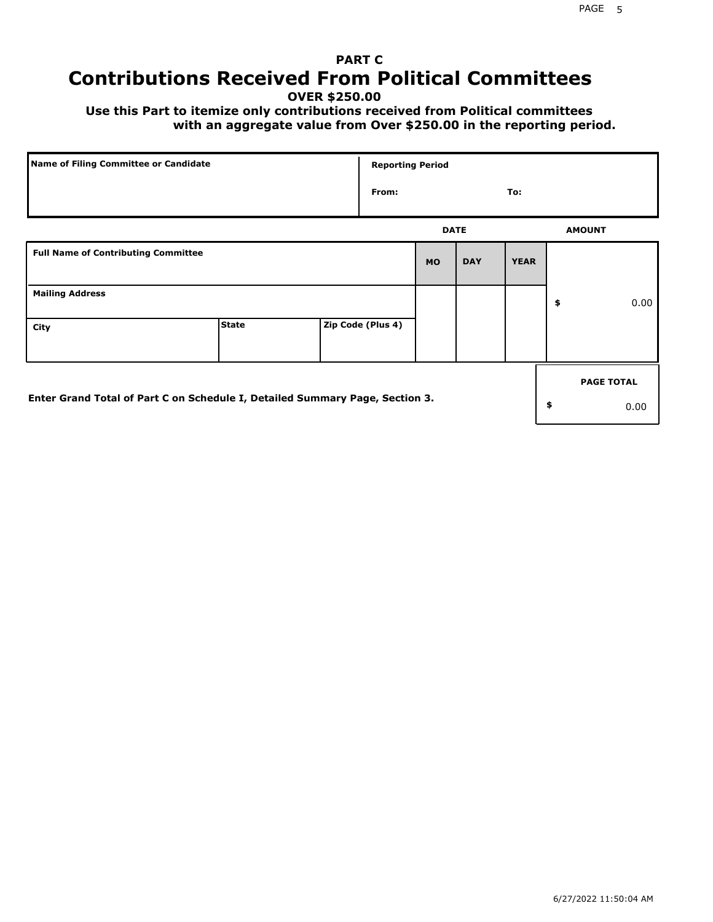# **PART C Contributions Received From Political Committees**

**OVER \$250.00**

 **Use this Part to itemize only contributions received from Political committees with an aggregate value from Over \$250.00 in the reporting period.**

| Name of Filing Committee or Candidate                                        |              |  | <b>Reporting Period</b> |             |            |             |                   |
|------------------------------------------------------------------------------|--------------|--|-------------------------|-------------|------------|-------------|-------------------|
|                                                                              |              |  | From:                   |             |            | To:         |                   |
|                                                                              |              |  |                         | <b>DATE</b> |            |             | <b>AMOUNT</b>     |
| <b>Full Name of Contributing Committee</b>                                   |              |  |                         | <b>MO</b>   | <b>DAY</b> | <b>YEAR</b> |                   |
| <b>Mailing Address</b>                                                       |              |  |                         |             |            |             | \$<br>0.00        |
| City                                                                         | <b>State</b> |  | Zip Code (Plus 4)       |             |            |             |                   |
|                                                                              |              |  |                         |             |            |             | <b>PAGE TOTAL</b> |
| Enter Grand Total of Part C on Schedule I, Detailed Summary Page, Section 3. |              |  |                         |             |            |             | \$<br>0.00        |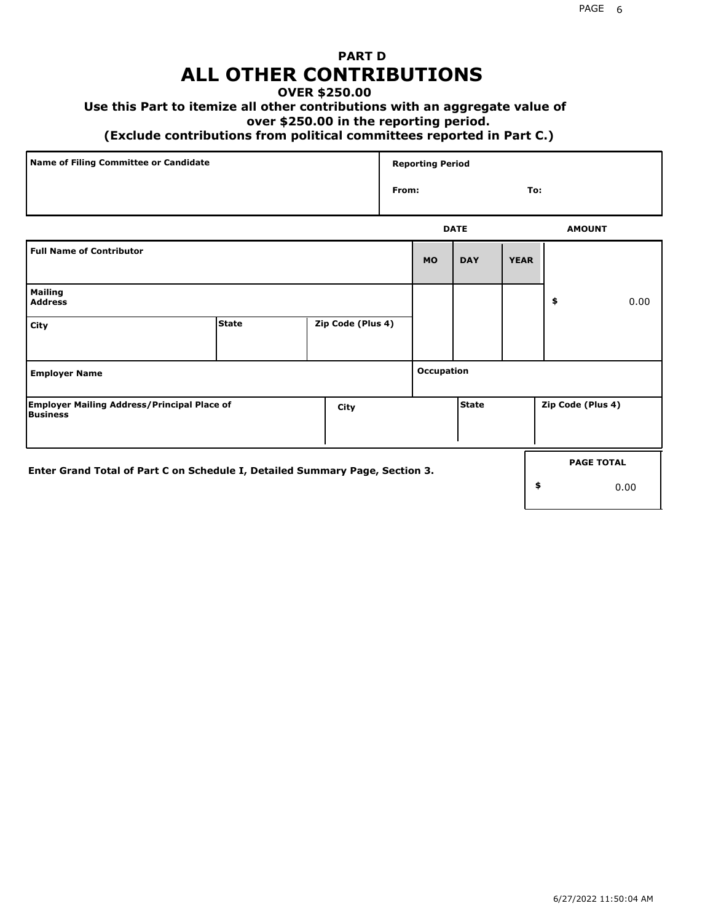## **PART D ALL OTHER CONTRIBUTIONS**

#### **OVER \$250.00**

### **Use this Part to itemize all other contributions with an aggregate value of**

#### **over \$250.00 in the reporting period.**

#### **(Exclude contributions from political committees reported in Part C.)**

| Name of Filing Committee or Candidate | <b>Reporting Period</b> |               |
|---------------------------------------|-------------------------|---------------|
|                                       | From:                   | To:           |
|                                       | <b>DATE</b>             | <b>AMOUNT</b> |

|                                                                              |              |  |                   |            | ----         |             |                   | <b>APPOIT</b>     |
|------------------------------------------------------------------------------|--------------|--|-------------------|------------|--------------|-------------|-------------------|-------------------|
| <b>Full Name of Contributor</b>                                              |              |  |                   | <b>MO</b>  | <b>DAY</b>   | <b>YEAR</b> |                   |                   |
| <b>Mailing</b><br><b>Address</b>                                             |              |  |                   |            |              |             | \$                | 0.00              |
| City                                                                         | <b>State</b> |  | Zip Code (Plus 4) |            |              |             |                   |                   |
| <b>Employer Name</b>                                                         |              |  |                   | Occupation |              |             |                   |                   |
| <b>Employer Mailing Address/Principal Place of</b><br>City<br>Business       |              |  |                   |            | <b>State</b> |             | Zip Code (Plus 4) |                   |
| Enter Grand Total of Part C on Schedule I, Detailed Summary Page, Section 3. |              |  |                   |            |              |             |                   | <b>PAGE TOTAL</b> |
|                                                                              |              |  |                   |            |              |             | \$                | 0.00              |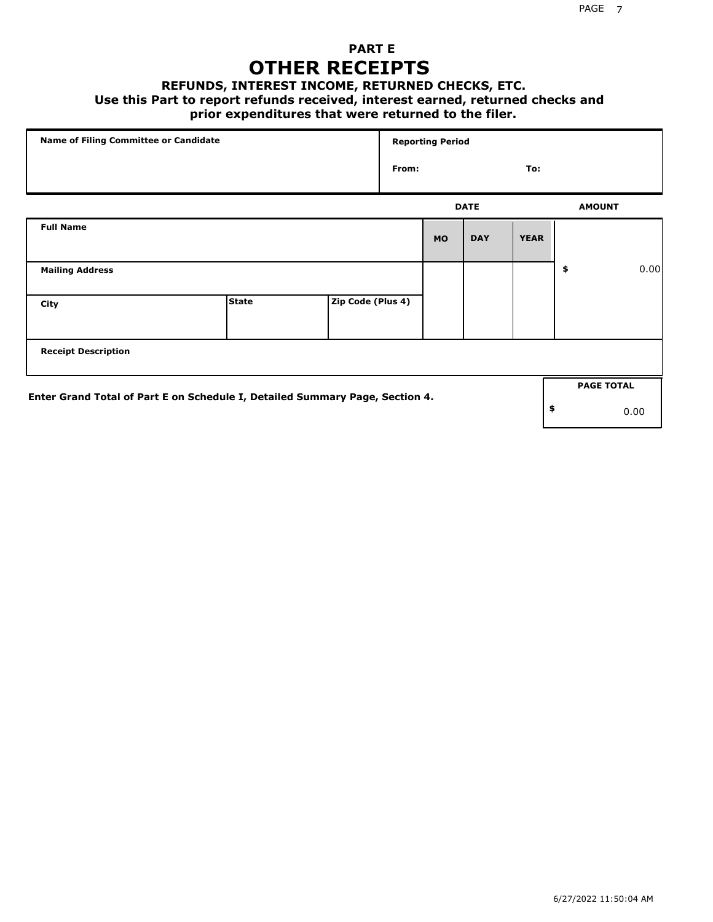## **PART E OTHER RECEIPTS**

#### **REFUNDS, INTEREST INCOME, RETURNED CHECKS, ETC.**

 **Use this Part to report refunds received, interest earned, returned checks and**

### **prior expenditures that were returned to the filer.**

| Name of Filing Committee or Candidate                                        |              |                   |       | <b>Reporting Period</b> |             |             |               |                   |      |
|------------------------------------------------------------------------------|--------------|-------------------|-------|-------------------------|-------------|-------------|---------------|-------------------|------|
|                                                                              |              |                   | From: |                         |             | To:         |               |                   |      |
|                                                                              |              |                   |       |                         | <b>DATE</b> |             | <b>AMOUNT</b> |                   |      |
| <b>Full Name</b>                                                             |              |                   |       | <b>MO</b>               | <b>DAY</b>  | <b>YEAR</b> |               |                   |      |
| <b>Mailing Address</b>                                                       |              |                   |       |                         |             |             | \$            |                   | 0.00 |
| City                                                                         | <b>State</b> | Zip Code (Plus 4) |       |                         |             |             |               |                   |      |
| <b>Receipt Description</b>                                                   |              |                   |       |                         |             |             |               |                   |      |
| Enter Grand Total of Part E on Schedule I, Detailed Summary Page, Section 4. |              |                   |       |                         |             |             |               | <b>PAGE TOTAL</b> |      |
|                                                                              |              |                   |       |                         |             |             | \$            | 0.00              |      |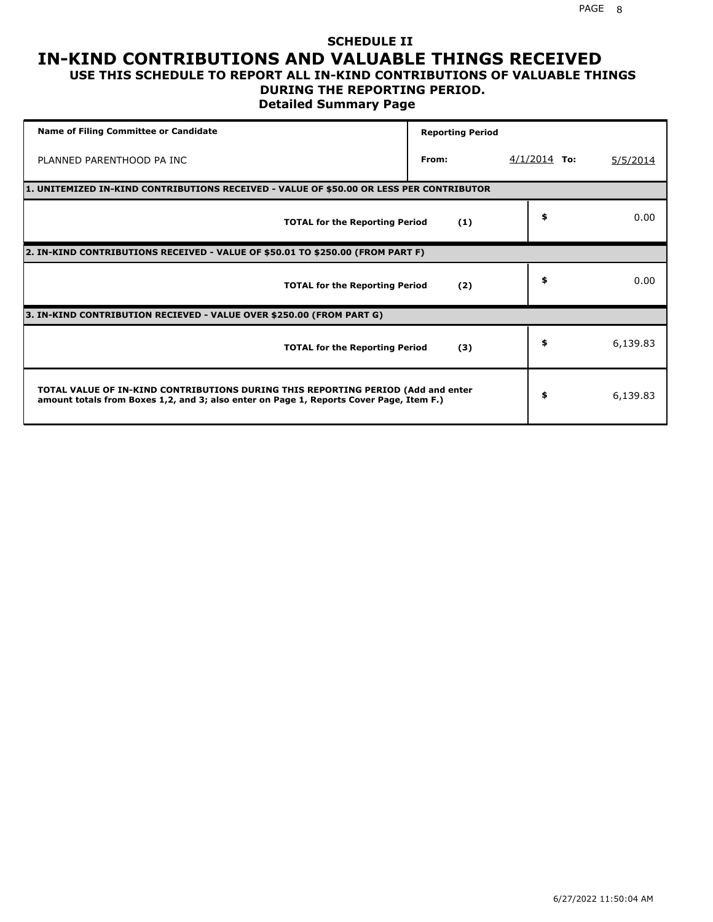#### **SCHEDULE II IN-KIND CONTRIBUTIONS AND VALUABLE THINGS RECEIVED USE THIS SCHEDULE TO REPORT ALL IN-KIND CONTRIBUTIONS OF VALUABLE THINGS**

# **DURING THE REPORTING PERIOD.**

**Detailed Summary Page**

| <b>Name of Filing Committee or Candidate</b>                                                                                                                                | <b>Reporting Period</b> |                |          |
|-----------------------------------------------------------------------------------------------------------------------------------------------------------------------------|-------------------------|----------------|----------|
| PLANNED PARENTHOOD PA INC                                                                                                                                                   | From:                   | $4/1/2014$ To: | 5/5/2014 |
| 1. UNITEMIZED IN-KIND CONTRIBUTIONS RECEIVED - VALUE OF \$50.00 OR LESS PER CONTRIBUTOR                                                                                     |                         |                |          |
| <b>TOTAL for the Reporting Period</b>                                                                                                                                       | (1)                     | \$             | 0.00     |
| 2. IN-KIND CONTRIBUTIONS RECEIVED - VALUE OF \$50.01 TO \$250.00 (FROM PART F)                                                                                              |                         |                |          |
| <b>TOTAL for the Reporting Period</b>                                                                                                                                       | (2)                     | \$             | 0.00     |
| 3. IN-KIND CONTRIBUTION RECIEVED - VALUE OVER \$250.00 (FROM PART G)                                                                                                        |                         |                |          |
| <b>TOTAL for the Reporting Period</b>                                                                                                                                       | (3)                     | \$             | 6,139.83 |
| TOTAL VALUE OF IN-KIND CONTRIBUTIONS DURING THIS REPORTING PERIOD (Add and enter<br>amount totals from Boxes 1,2, and 3; also enter on Page 1, Reports Cover Page, Item F.) |                         | \$             | 6,139.83 |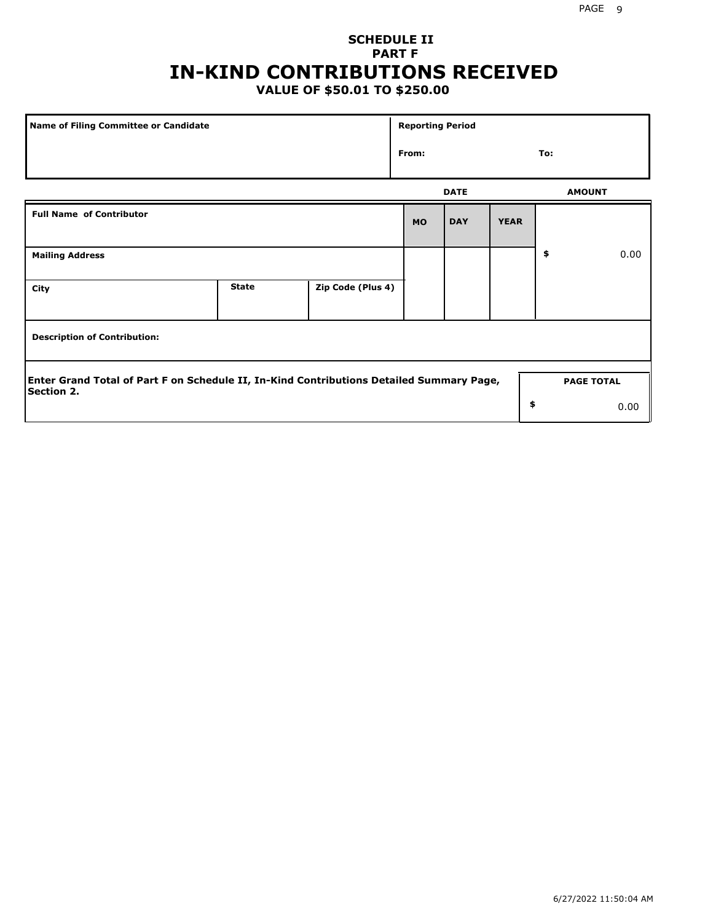## **SCHEDULE II PART F IN-KIND CONTRIBUTIONS RECEIVED**

## **VALUE OF \$50.01 TO \$250.00**

| Name of Filing Committee or Candidate                                                                         |              |                   | <b>Reporting Period</b> |             |             |                   |      |
|---------------------------------------------------------------------------------------------------------------|--------------|-------------------|-------------------------|-------------|-------------|-------------------|------|
|                                                                                                               |              |                   | From:                   |             |             | To:               |      |
|                                                                                                               |              |                   |                         | <b>DATE</b> |             | <b>AMOUNT</b>     |      |
| <b>Full Name of Contributor</b>                                                                               |              |                   | <b>MO</b>               | <b>DAY</b>  | <b>YEAR</b> |                   |      |
| <b>Mailing Address</b>                                                                                        |              |                   |                         |             |             | \$                | 0.00 |
| City                                                                                                          | <b>State</b> | Zip Code (Plus 4) |                         |             |             |                   |      |
| <b>Description of Contribution:</b>                                                                           |              |                   |                         |             |             |                   |      |
| Enter Grand Total of Part F on Schedule II, In-Kind Contributions Detailed Summary Page,<br><b>Section 2.</b> |              |                   |                         |             |             | <b>PAGE TOTAL</b> |      |
|                                                                                                               |              |                   |                         |             | \$          |                   | 0.00 |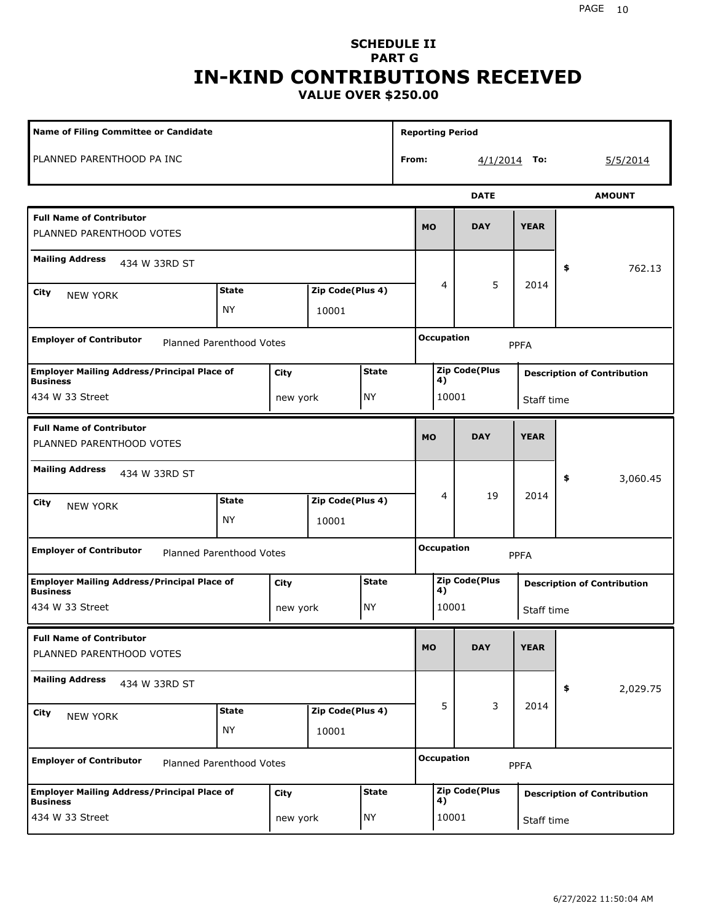#### **SCHEDULE II PART G IN-KIND CONTRIBUTIONS RECEIVED VALUE OVER \$250.00**

| <b>Name of Filing Committee or Candidate</b>                          |                           |          |                           |              | <b>Reporting Period</b> |                                  |       |                      |             |                                    |               |  |
|-----------------------------------------------------------------------|---------------------------|----------|---------------------------|--------------|-------------------------|----------------------------------|-------|----------------------|-------------|------------------------------------|---------------|--|
| PLANNED PARENTHOOD PA INC                                             |                           |          |                           |              | From:                   |                                  |       | $4/1/2014$ To:       |             |                                    | 5/5/2014      |  |
|                                                                       |                           |          |                           |              |                         |                                  |       | <b>DATE</b>          |             |                                    | <b>AMOUNT</b> |  |
| <b>Full Name of Contributor</b><br>PLANNED PARENTHOOD VOTES           |                           |          |                           |              |                         | <b>MO</b>                        |       | <b>DAY</b>           | <b>YEAR</b> |                                    |               |  |
| <b>Mailing Address</b><br>434 W 33RD ST                               |                           |          |                           |              |                         |                                  |       |                      |             | \$                                 | 762.13        |  |
| City<br><b>NEW YORK</b>                                               | <b>State</b><br><b>NY</b> |          | Zip Code(Plus 4)<br>10001 |              |                         |                                  | 4     | 5                    | 2014        |                                    |               |  |
| <b>Employer of Contributor</b><br>Planned Parenthood Votes            |                           |          |                           |              |                         | <b>Occupation</b><br><b>PPFA</b> |       |                      |             |                                    |               |  |
| <b>Employer Mailing Address/Principal Place of</b><br><b>Business</b> |                           | City     |                           | <b>State</b> |                         |                                  | 4)    | <b>Zip Code(Plus</b> |             | <b>Description of Contribution</b> |               |  |
| 434 W 33 Street<br>NY)<br>new york                                    |                           |          |                           |              |                         | 10001                            |       | Staff time           |             |                                    |               |  |
| <b>Full Name of Contributor</b><br>PLANNED PARENTHOOD VOTES           |                           |          |                           |              |                         | <b>MO</b>                        |       | <b>DAY</b>           | <b>YEAR</b> |                                    |               |  |
| <b>Mailing Address</b><br>434 W 33RD ST                               |                           |          |                           |              |                         |                                  |       |                      |             | \$                                 | 3,060.45      |  |
| City<br><b>NEW YORK</b>                                               | <b>State</b>              |          | Zip Code(Plus 4)          |              |                         |                                  | 4     | 19                   | 2014        |                                    |               |  |
|                                                                       | <b>NY</b>                 |          | 10001                     |              |                         |                                  |       |                      |             |                                    |               |  |
| <b>Employer of Contributor</b><br>Planned Parenthood Votes            |                           |          |                           |              |                         | <b>Occupation</b><br><b>PPFA</b> |       |                      |             |                                    |               |  |
| <b>Employer Mailing Address/Principal Place of</b><br><b>Business</b> |                           | City     |                           | <b>State</b> |                         |                                  | 4)    | <b>Zip Code(Plus</b> |             | <b>Description of Contribution</b> |               |  |
| 434 W 33 Street                                                       |                           | new york |                           | NY)          |                         |                                  | 10001 |                      | Staff time  |                                    |               |  |
| <b>Full Name of Contributor</b><br>PLANNED PARENTHOOD VOTES           |                           |          |                           |              |                         | <b>MO</b>                        |       | <b>DAY</b>           | <b>YEAR</b> |                                    |               |  |
| <b>Mailing Address</b><br>434 W 33RD ST                               |                           |          |                           |              |                         |                                  |       |                      |             | \$                                 | 2,029.75      |  |
| City<br>NEW YORK                                                      | <b>State</b>              |          | Zip Code(Plus 4)          |              |                         |                                  | 5     | 3                    | 2014        |                                    |               |  |
|                                                                       | <b>NY</b>                 |          | 10001                     |              |                         |                                  |       |                      |             |                                    |               |  |
| <b>Employer of Contributor</b><br>Planned Parenthood Votes            |                           |          |                           |              |                         | <b>Occupation</b>                |       |                      | <b>PPFA</b> |                                    |               |  |
| <b>Employer Mailing Address/Principal Place of</b><br><b>Business</b> |                           | City     |                           | <b>State</b> |                         |                                  |       | <b>Zip Code(Plus</b> |             | <b>Description of Contribution</b> |               |  |
| 434 W 33 Street                                                       |                           | new york |                           | NY)          |                         | 4)<br>10001<br>Staff time        |       |                      |             |                                    |               |  |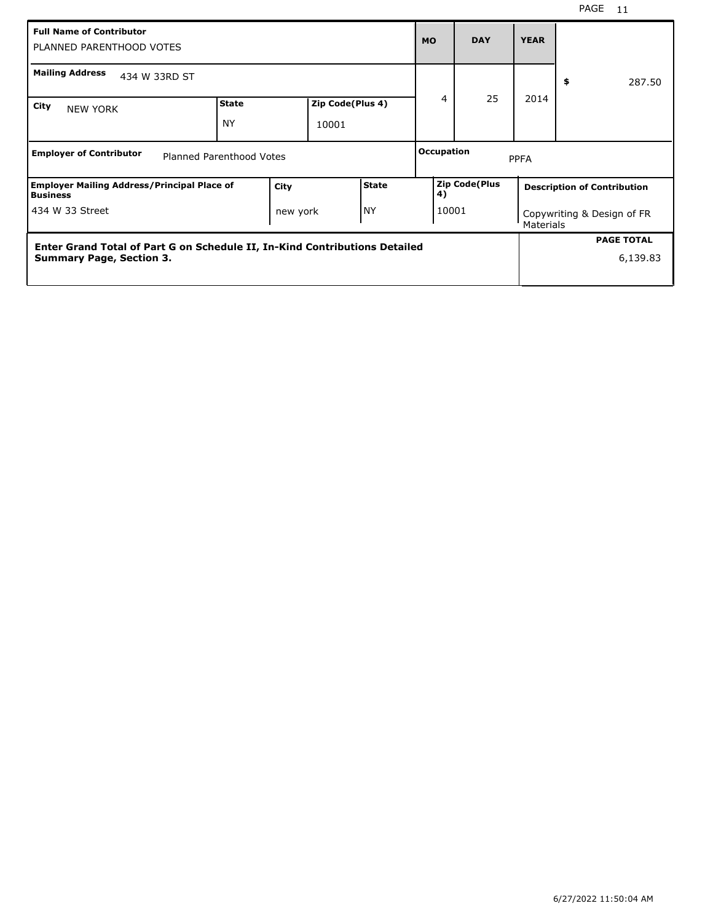| <b>Full Name of Contributor</b><br>PLANNED PARENTHOOD VOTES                |                           |                           |  |              |                                                  | <b>DAY</b> | <b>YEAR</b> |                                    |  |
|----------------------------------------------------------------------------|---------------------------|---------------------------|--|--------------|--------------------------------------------------|------------|-------------|------------------------------------|--|
| <b>Mailing Address</b><br>434 W 33RD ST                                    |                           |                           |  |              |                                                  |            |             | \$<br>287.50                       |  |
| City<br><b>NEW YORK</b>                                                    | <b>State</b><br><b>NY</b> | Zip Code(Plus 4)<br>10001 |  |              | 4                                                | 25         | 2014        |                                    |  |
| <b>Employer of Contributor</b><br>Planned Parenthood Votes                 |                           |                           |  |              | Occupation<br><b>PPFA</b>                        |            |             |                                    |  |
| <b>Employer Mailing Address/Principal Place of</b><br><b>Business</b>      |                           | City                      |  | <b>State</b> | <b>Zip Code(Plus</b><br>4)                       |            |             | <b>Description of Contribution</b> |  |
| NY)<br>434 W 33 Street<br>new york                                         |                           |                           |  |              | 10001<br>Copywriting & Design of FR<br>Materials |            |             |                                    |  |
| Enter Grand Total of Part G on Schedule II, In-Kind Contributions Detailed |                           |                           |  |              |                                                  |            |             | <b>PAGE TOTAL</b>                  |  |
| <b>Summary Page, Section 3.</b>                                            |                           |                           |  |              |                                                  |            |             | 6,139.83                           |  |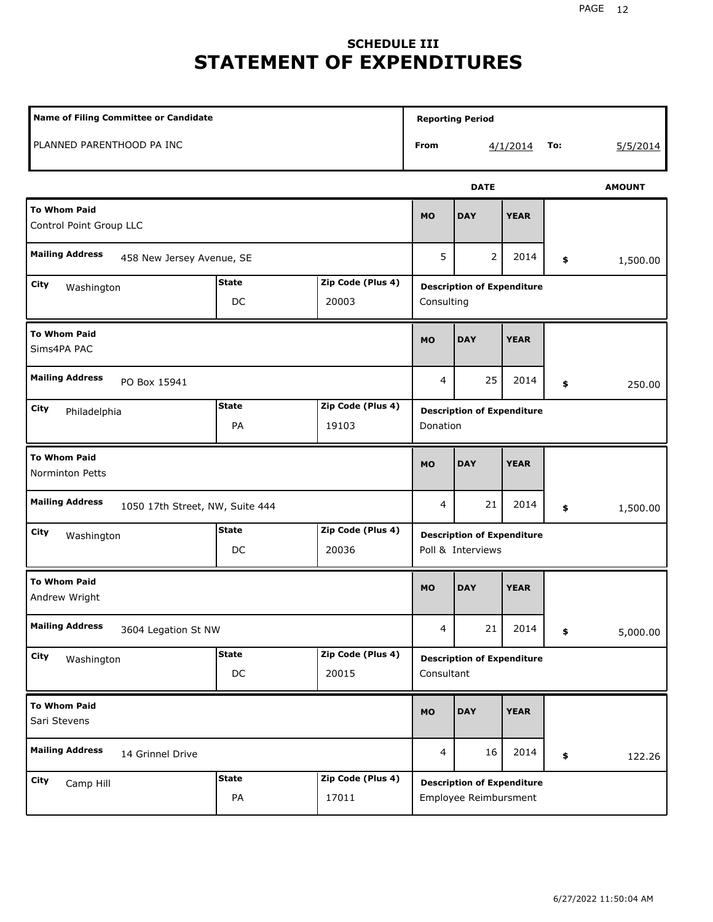# **SCHEDULE III STATEMENT OF EXPENDITURES**

| <b>Name of Filing Committee or Candidate</b>              |                            |                            |                                                 |                                                            |             |     |               |  |
|-----------------------------------------------------------|----------------------------|----------------------------|-------------------------------------------------|------------------------------------------------------------|-------------|-----|---------------|--|
| PLANNED PARENTHOOD PA INC                                 |                            |                            | From                                            |                                                            | 4/1/2014    | To: | 5/5/2014      |  |
|                                                           |                            |                            |                                                 | <b>DATE</b>                                                |             |     | <b>AMOUNT</b> |  |
| <b>To Whom Paid</b><br>Control Point Group LLC            |                            |                            | <b>MO</b>                                       | <b>DAY</b>                                                 | <b>YEAR</b> |     |               |  |
| <b>Mailing Address</b><br>458 New Jersey Avenue, SE       |                            |                            | 5                                               | 2                                                          | 2014        | \$  | 1,500.00      |  |
| City<br>Washington                                        | <b>State</b><br>DC         | Zip Code (Plus 4)<br>20003 | <b>Description of Expenditure</b><br>Consulting |                                                            |             |     |               |  |
| <b>To Whom Paid</b><br>Sims4PA PAC                        |                            |                            | <b>MO</b>                                       | <b>DAY</b>                                                 | <b>YEAR</b> |     |               |  |
| <b>Mailing Address</b><br>PO Box 15941                    |                            |                            | 4                                               | 250.00                                                     |             |     |               |  |
| City<br>Philadelphia                                      | Zip Code (Plus 4)<br>19103 |                            | <b>Description of Expenditure</b><br>Donation   |                                                            |             |     |               |  |
| <b>To Whom Paid</b><br><b>Norminton Petts</b>             | <b>MO</b>                  | <b>DAY</b>                 | <b>YEAR</b>                                     |                                                            |             |     |               |  |
| <b>Mailing Address</b><br>1050 17th Street, NW, Suite 444 |                            |                            | 4                                               | 21                                                         | 2014        | \$  | 1,500.00      |  |
| <b>City</b><br>Washington                                 | <b>State</b><br>DC         | Zip Code (Plus 4)<br>20036 |                                                 | <b>Description of Expenditure</b><br>Poll & Interviews     |             |     |               |  |
| <b>To Whom Paid</b><br>Andrew Wright                      |                            |                            | <b>MO</b>                                       | <b>DAY</b>                                                 | <b>YEAR</b> |     |               |  |
| <b>Mailing Address</b><br>3604 Legation St NW             |                            |                            | $\overline{4}$                                  | 21                                                         | 2014        | \$  | 5,000.00      |  |
| City<br>Washington                                        | <b>State</b><br>DC         | Zip Code (Plus 4)<br>20015 | Consultant                                      | <b>Description of Expenditure</b>                          |             |     |               |  |
| <b>To Whom Paid</b><br>Sari Stevens                       |                            |                            |                                                 | <b>DAY</b>                                                 | <b>YEAR</b> |     |               |  |
| <b>Mailing Address</b><br>14 Grinnel Drive                |                            |                            |                                                 | 16                                                         | 2014        | \$  | 122.26        |  |
| City<br>Camp Hill                                         | <b>State</b><br>PA         | Zip Code (Plus 4)<br>17011 |                                                 | <b>Description of Expenditure</b><br>Employee Reimbursment |             |     |               |  |